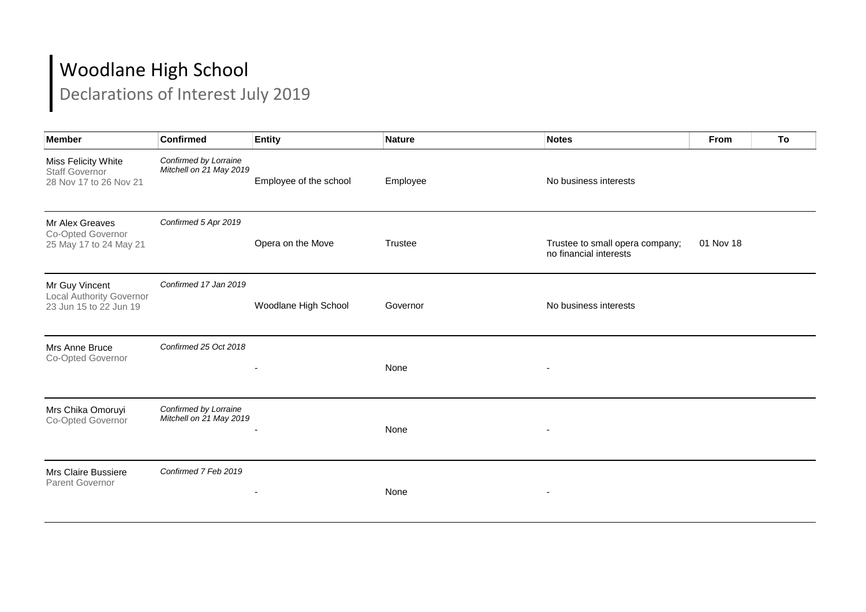## Woodlane High School

Declarations of Interest July 2019

| Member                                                                      | <b>Confirmed</b>                                 | <b>Entity</b>          | <b>Nature</b> | Notes                                                     | <b>From</b> | To |
|-----------------------------------------------------------------------------|--------------------------------------------------|------------------------|---------------|-----------------------------------------------------------|-------------|----|
| Miss Felicity White<br><b>Staff Governor</b><br>28 Nov 17 to 26 Nov 21      | Confirmed by Lorraine<br>Mitchell on 21 May 2019 | Employee of the school | Employee      | No business interests                                     |             |    |
| Mr Alex Greaves<br>Co-Opted Governor<br>25 May 17 to 24 May 21              | Confirmed 5 Apr 2019                             | Opera on the Move      | Trustee       | Trustee to small opera company;<br>no financial interests | 01 Nov 18   |    |
| Mr Guy Vincent<br><b>Local Authority Governor</b><br>23 Jun 15 to 22 Jun 19 | Confirmed 17 Jan 2019                            | Woodlane High School   | Governor      | No business interests                                     |             |    |
| Mrs Anne Bruce<br>Co-Opted Governor                                         | Confirmed 25 Oct 2018                            |                        | None          |                                                           |             |    |
| Mrs Chika Omoruyi<br>Co-Opted Governor                                      | Confirmed by Lorraine<br>Mitchell on 21 May 2019 |                        | None          |                                                           |             |    |
| Mrs Claire Bussiere<br><b>Parent Governor</b>                               | Confirmed 7 Feb 2019                             |                        | None          |                                                           |             |    |